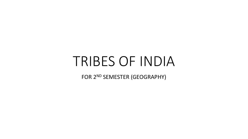# TRIBES OF INDIA

FOR 2<sup>ND</sup> SEMESTER (GEOGRAPHY)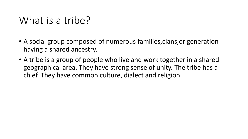## What is a tribe?

- A social group composed of numerous families,clans,or generation having a shared ancestry.
- A tribe is a group of people who live and work together in a shared geographical area. They have strong sense of unity. The tribe has a chief. They have common culture, dialect and religion.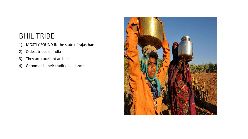#### BHIL TRIBE

- 1) MOSTLY FOUND IN the state of rajasthan
- 2) Oldest tribes of india
- 3) They are excellent archers
- 4) Ghoomar is their traditional dance

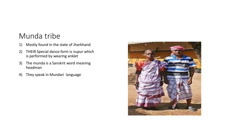#### Munda tribe

- 1) Mostly found in the state of Jharkhand
- 2) THEIR Special dance form is nupur which is performed by wearing anklet
- 3) The munda is a Sanskrit word meaning headman
- 4) They speak in Mundari language

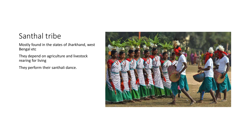#### Santhal tribe

Mostly found in the states of Jharkhand, west Bengal etc

They depend on agriculture and livestock rearing for living

They perform their santhali dance.

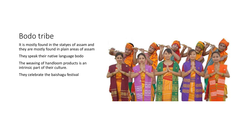#### Bodo tribe

It is mostly found in the statyes of assam and they are mostly found in plain areas of assam

They speak their native language bodo

The weaving of handloom products is an intrinsic part of their culture.

They celebrate the baishagu festival

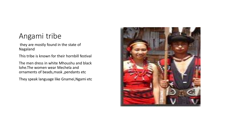#### Angami tribe

they are mostly found in the state of Nagaland

This tribe is known for their hornbill festival

The men dress in white Mhoushu and black lohe.The women wear Mechela and ornaments of beads,mask ,pendants etc

They speak language like Gnamei,Ngami etc